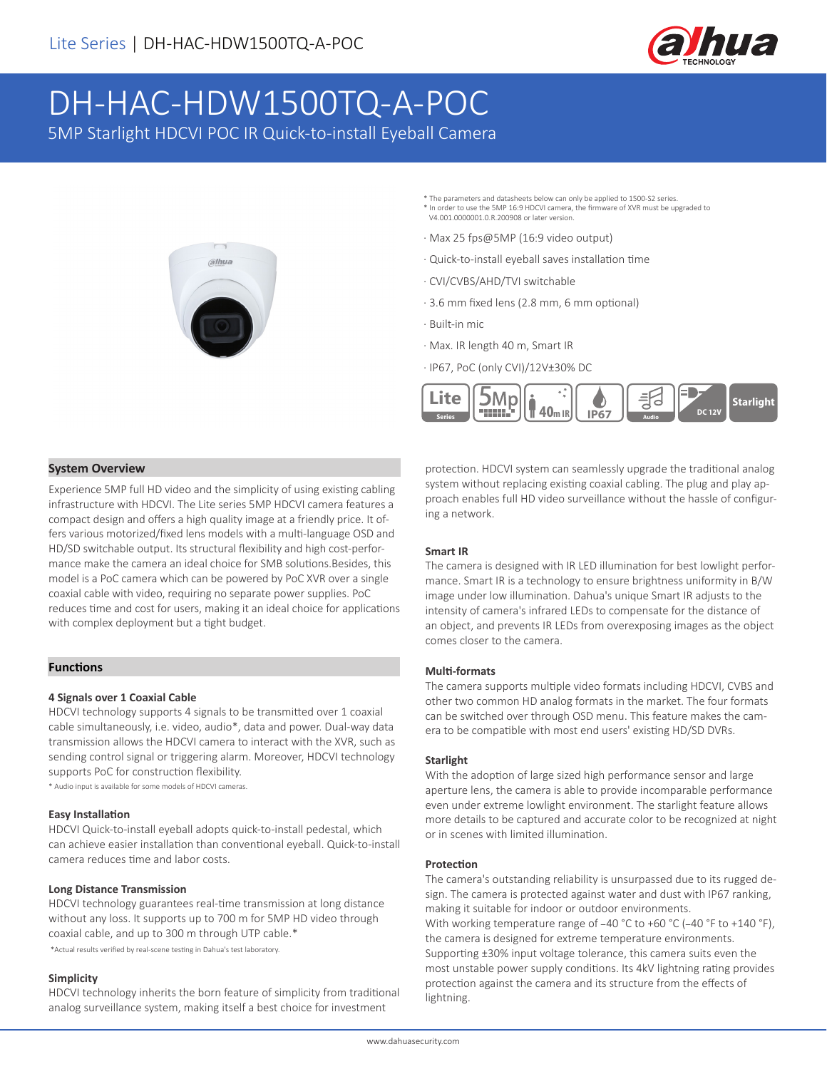

# DH-HAC-HDW1500TQ-A-POC 5MP Starlight HDCVI POC IR Quick-to-install Eyeball Camera

alhua

- \* The parameters and datasheets below can only be applied to 1500-S2 series. \* In order to use the 5MP 16:9 HDCVI camera, the firmware of XVR must be upgraded to V4.001.0000001.0.R.200908 or later version.
- · Max 25 fps@5MP (16:9 video output)
- · Quick-to-install eyeball saves installation time
- · CVI/CVBS/AHD/TVI switchable
- · 3.6 mm fixed lens (2.8 mm, 6 mm optional)
- · Built-in mic
- · Max. IR length 40 m, Smart IR
- · IP67, PoC (only CVI)/12V±30% DC



#### **System Overview**

Experience 5MP full HD video and the simplicity of using existing cabling infrastructure with HDCVI. The Lite series 5MP HDCVI camera features a compact design and offers a high quality image at a friendly price. It offers various motorized/fixed lens models with a multi-language OSD and HD/SD switchable output. Its structural flexibility and high cost-performance make the camera an ideal choice for SMB solutions.Besides, this model is a PoC camera which can be powered by PoC XVR over a single coaxial cable with video, requiring no separate power supplies. PoC reduces time and cost for users, making it an ideal choice for applications with complex deployment but a tight budget.

#### **Functions**

#### **4 Signals over 1 Coaxial Cable**

HDCVI technology supports 4 signals to be transmitted over 1 coaxial cable simultaneously, i.e. video, audio\*, data and power. Dual-way data transmission allows the HDCVI camera to interact with the XVR, such as sending control signal or triggering alarm. Moreover, HDCVI technology supports PoC for construction flexibility.

\* Audio input is available for some models of HDCVI cameras.

#### **Easy Installation**

HDCVI Quick-to-install eyeball adopts quick-to-install pedestal, which can achieve easier installation than conventional eyeball. Quick-to-install camera reduces time and labor costs.

#### **Long Distance Transmission**

HDCVI technology guarantees real-time transmission at long distance without any loss. It supports up to 700 m for 5MP HD video through coaxial cable, and up to 300 m through UTP cable.\* \*Actual results verified by real-scene testing in Dahua's test laboratory.

#### **Simplicity**

HDCVI technology inherits the born feature of simplicity from traditional analog surveillance system, making itself a best choice for investment

protection. HDCVI system can seamlessly upgrade the traditional analog system without replacing existing coaxial cabling. The plug and play approach enables full HD video surveillance without the hassle of configuring a network.

#### **Smart IR**

The camera is designed with IR LED illumination for best lowlight performance. Smart IR is a technology to ensure brightness uniformity in B/W image under low illumination. Dahua's unique Smart IR adjusts to the intensity of camera's infrared LEDs to compensate for the distance of an object, and prevents IR LEDs from overexposing images as the object comes closer to the camera.

#### **Multi-formats**

The camera supports multiple video formats including HDCVI, CVBS and other two common HD analog formats in the market. The four formats can be switched over through OSD menu. This feature makes the camera to be compatible with most end users' existing HD/SD DVRs.

#### **Starlight**

With the adoption of large sized high performance sensor and large aperture lens, the camera is able to provide incomparable performance even under extreme lowlight environment. The starlight feature allows more details to be captured and accurate color to be recognized at night or in scenes with limited illumination.

#### **Protection**

The camera's outstanding reliability is unsurpassed due to its rugged design. The camera is protected against water and dust with IP67 ranking, making it suitable for indoor or outdoor environments. With working temperature range of -40 °C to +60 °C (-40 °F to +140 °F), the camera is designed for extreme temperature environments. Supporting ±30% input voltage tolerance, this camera suits even the most unstable power supply conditions. Its 4kV lightning rating provides protection against the camera and its structure from the effects of lightning.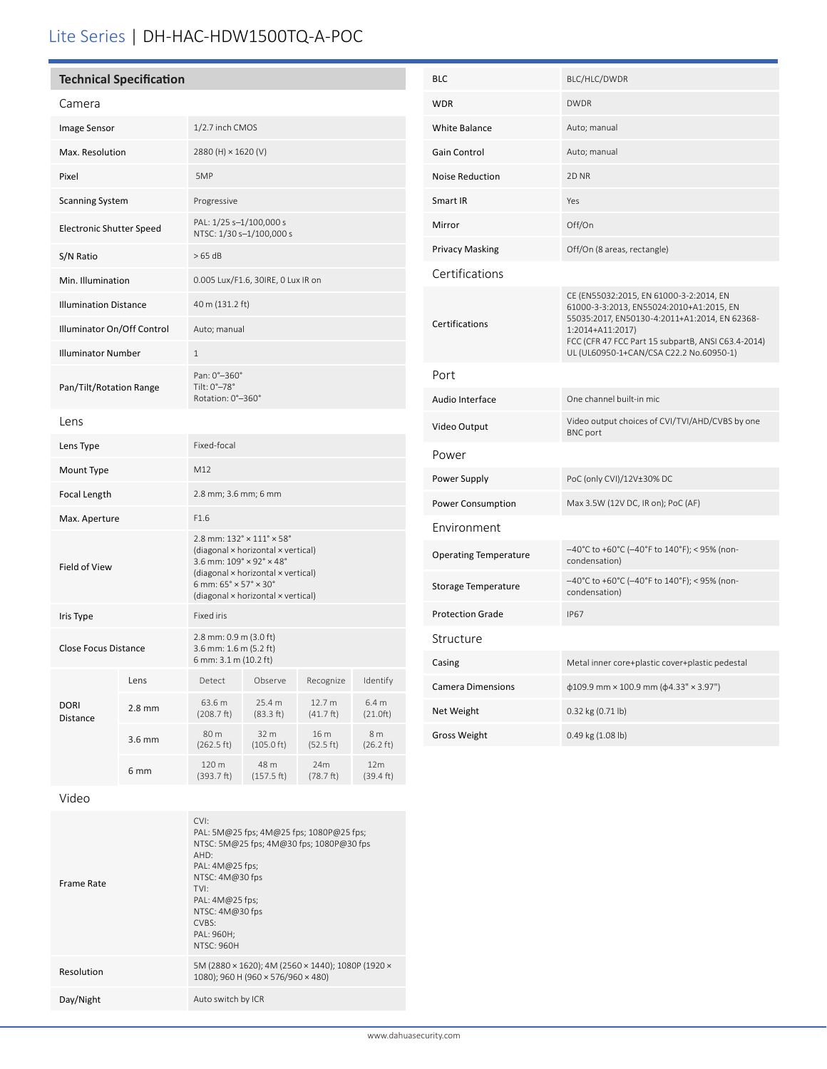## Lite Series | DH-HAC-HDW1500TQ-A-POC

| <b>Technical Specification</b>  |          |                                                                                                                                                                                                                                                                                                 |                              |                               |                            |  |
|---------------------------------|----------|-------------------------------------------------------------------------------------------------------------------------------------------------------------------------------------------------------------------------------------------------------------------------------------------------|------------------------------|-------------------------------|----------------------------|--|
| Camera                          |          |                                                                                                                                                                                                                                                                                                 |                              |                               |                            |  |
| Image Sensor                    |          | 1/2.7 inch CMOS                                                                                                                                                                                                                                                                                 |                              |                               |                            |  |
| Max. Resolution                 |          | 2880 (H) × 1620 (V)                                                                                                                                                                                                                                                                             |                              |                               |                            |  |
| Pixel                           |          | 5MP                                                                                                                                                                                                                                                                                             |                              |                               |                            |  |
| <b>Scanning System</b>          |          | Progressive                                                                                                                                                                                                                                                                                     |                              |                               |                            |  |
| <b>Electronic Shutter Speed</b> |          | PAL: 1/25 s-1/100,000 s<br>NTSC: 1/30 s-1/100,000 s                                                                                                                                                                                                                                             |                              |                               |                            |  |
| S/N Ratio                       |          | >65 dB                                                                                                                                                                                                                                                                                          |                              |                               |                            |  |
| Min. Illumination               |          | 0.005 Lux/F1.6, 30IRE, 0 Lux IR on                                                                                                                                                                                                                                                              |                              |                               |                            |  |
| <b>Illumination Distance</b>    |          | 40 m (131.2 ft)                                                                                                                                                                                                                                                                                 |                              |                               |                            |  |
| Illuminator On/Off Control      |          | Auto; manual                                                                                                                                                                                                                                                                                    |                              |                               |                            |  |
| <b>Illuminator Number</b>       |          | 1                                                                                                                                                                                                                                                                                               |                              |                               |                            |  |
| Pan/Tilt/Rotation Range         |          | Pan: 0°-360°<br>Tilt: 0°-78°<br>Rotation: 0°-360°                                                                                                                                                                                                                                               |                              |                               |                            |  |
| Lens                            |          |                                                                                                                                                                                                                                                                                                 |                              |                               |                            |  |
| Lens Type                       |          | Fixed-focal                                                                                                                                                                                                                                                                                     |                              |                               |                            |  |
| Mount Type                      |          | M12                                                                                                                                                                                                                                                                                             |                              |                               |                            |  |
| Focal Length                    |          | 2.8 mm; 3.6 mm; 6 mm                                                                                                                                                                                                                                                                            |                              |                               |                            |  |
| Max. Aperture                   |          | F1.6                                                                                                                                                                                                                                                                                            |                              |                               |                            |  |
| Field of View                   |          | $2.8$ mm: $132^{\circ} \times 111^{\circ} \times 58^{\circ}$<br>(diagonal x horizontal x vertical)<br>3.6 mm: $109^\circ \times 92^\circ \times 48^\circ$<br>(diagonal × horizontal × vertical)<br>6 mm: $65^{\circ} \times 57^{\circ} \times 30^{\circ}$<br>(diagonal × horizontal × vertical) |                              |                               |                            |  |
| Iris Type                       |          | Fixed iris                                                                                                                                                                                                                                                                                      |                              |                               |                            |  |
| Close Focus Distance            |          | 2.8 mm: 0.9 m (3.0 ft)<br>3.6 mm: 1.6 m (5.2 ft)<br>6 mm: 3.1 m (10.2 ft)                                                                                                                                                                                                                       |                              |                               |                            |  |
| <b>DORI</b><br>Distance         | Lens     | Detect                                                                                                                                                                                                                                                                                          | Observe                      | Recognize                     | Identify                   |  |
|                                 | $2.8$ mm | 63.6 m<br>(208.7 ft)                                                                                                                                                                                                                                                                            | 25.4 m<br>(83.3 ft)          | 12.7 m<br>$(41.7 \text{ ft})$ | 6.4 m<br>(21.0ft)          |  |
|                                 | 3.6 mm   | 80 m<br>(262.5 ft)                                                                                                                                                                                                                                                                              | 32 m<br>$(105.0 \text{ ft})$ | 16 m<br>(52.5 ft)             | 8 m<br>$(26.2 \text{ ft})$ |  |
|                                 | 6 mm     | 120 m<br>(393.7 ft)                                                                                                                                                                                                                                                                             | 48 m<br>(157.5 ft)           | 24m<br>(78.7 ft)              | 12m<br>(39.4 ft)           |  |

| <b>BLC</b>                   | BLC/HLC/DWDR                                                                                                                                                                                                                                              |  |  |  |  |
|------------------------------|-----------------------------------------------------------------------------------------------------------------------------------------------------------------------------------------------------------------------------------------------------------|--|--|--|--|
| <b>WDR</b>                   | <b>DWDR</b>                                                                                                                                                                                                                                               |  |  |  |  |
| <b>White Balance</b>         | Auto; manual                                                                                                                                                                                                                                              |  |  |  |  |
| <b>Gain Control</b>          | Auto; manual                                                                                                                                                                                                                                              |  |  |  |  |
| <b>Noise Reduction</b>       | 2D <sub>NR</sub>                                                                                                                                                                                                                                          |  |  |  |  |
| Smart IR                     | Yes                                                                                                                                                                                                                                                       |  |  |  |  |
| Mirror                       | Off/On                                                                                                                                                                                                                                                    |  |  |  |  |
| <b>Privacy Masking</b>       | Off/On (8 areas, rectangle)                                                                                                                                                                                                                               |  |  |  |  |
| Certifications               |                                                                                                                                                                                                                                                           |  |  |  |  |
| Certifications               | CE (EN55032:2015, EN 61000-3-2:2014, EN<br>61000-3-3:2013, EN55024:2010+A1:2015, EN<br>55035:2017, EN50130-4:2011+A1:2014, EN 62368-<br>1:2014+A11:2017)<br>FCC (CFR 47 FCC Part 15 subpartB, ANSI C63.4-2014)<br>UL (UL60950-1+CAN/CSA C22.2 No.60950-1) |  |  |  |  |
| Port                         |                                                                                                                                                                                                                                                           |  |  |  |  |
| Audio Interface              | One channel built-in mic                                                                                                                                                                                                                                  |  |  |  |  |
| Video Output                 | Video output choices of CVI/TVI/AHD/CVBS by one<br><b>BNC</b> port                                                                                                                                                                                        |  |  |  |  |
| Power                        |                                                                                                                                                                                                                                                           |  |  |  |  |
| Power Supply                 | PoC (only CVI)/12V±30% DC                                                                                                                                                                                                                                 |  |  |  |  |
| Power Consumption            | Max 3.5W (12V DC, IR on); PoC (AF)                                                                                                                                                                                                                        |  |  |  |  |
| Environment                  |                                                                                                                                                                                                                                                           |  |  |  |  |
| <b>Operating Temperature</b> | -40°C to +60°C (-40°F to 140°F); < 95% (non-<br>condensation)                                                                                                                                                                                             |  |  |  |  |
| <b>Storage Temperature</b>   | -40°C to +60°C (-40°F to 140°F); < 95% (non-<br>condensation)                                                                                                                                                                                             |  |  |  |  |
| <b>Protection Grade</b>      | <b>IP67</b>                                                                                                                                                                                                                                               |  |  |  |  |
| Structure                    |                                                                                                                                                                                                                                                           |  |  |  |  |
| Casing                       | Metal inner core+plastic cover+plastic pedestal                                                                                                                                                                                                           |  |  |  |  |
| <b>Camera Dimensions</b>     | $\phi$ 109.9 mm × 100.9 mm ( $\phi$ 4.33" × 3.97")                                                                                                                                                                                                        |  |  |  |  |
| Net Weight                   | 0.32 kg (0.71 lb)                                                                                                                                                                                                                                         |  |  |  |  |
| <b>Gross Weight</b>          | 0.49 kg (1.08 lb)                                                                                                                                                                                                                                         |  |  |  |  |

Video

| Frame Rate | CVI:<br>PAL: 5M@25 fps; 4M@25 fps; 1080P@25 fps;<br>NTSC: 5M@25 fps; 4M@30 fps; 1080P@30 fps<br>AHD:<br>PAL: $4M@25$ fps;<br>NTSC: 4M@30 fps<br>TVI:<br>PAL: $4M@25$ fps;<br>NTSC: 4M@30 fps<br>CVBS:<br>PAL: 960H;<br><b>NTSC: 960H</b> |
|------------|------------------------------------------------------------------------------------------------------------------------------------------------------------------------------------------------------------------------------------------|
| Resolution | 5M (2880 × 1620); 4M (2560 × 1440); 1080P (1920 ×<br>1080); 960 H (960 × 576/960 × 480)                                                                                                                                                  |
| Day/Night  | Auto switch by ICR                                                                                                                                                                                                                       |